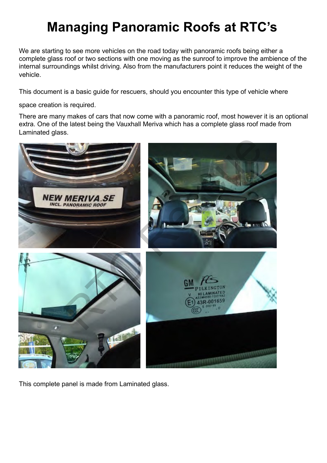# **Managing Panoramic Roofs at RTC's**

We are starting to see more vehicles on the road today with panoramic roofs being either a complete glass roof or two sections with one moving as the sunroof to improve the ambience of the internal surroundings whilst driving. Also from the manufacturers point it reduces the weight of the vehicle.

This document is a basic guide for rescuers, should you encounter this type of vehicle where

space creation is required.

There are many makes of cars that now come with a panoramic roof, most however it is an optional extra. One of the latest being the Vauxhall Meriva which has a complete glass roof made from Laminated glass.



This complete panel is made from Laminated glass.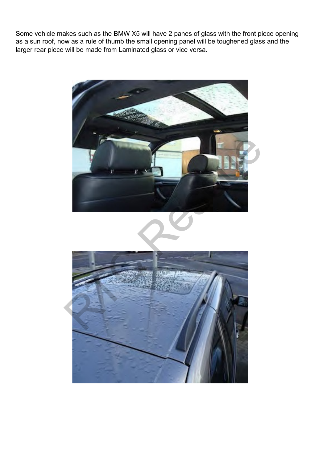Some vehicle makes such as the BMW X5 will have 2 panes of glass with the front piece opening as a sun roof, now as a rule of thumb the small opening panel will be toughened glass and the larger rear piece will be made from Laminated glass or vice versa.

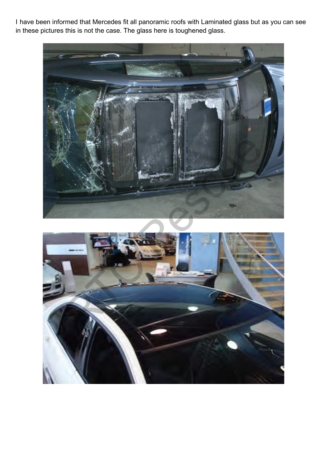I have been informed that Mercedes fit all panoramic roofs with Laminated glass but as you can see in these pictures this is not the case. The glass here is toughened glass.

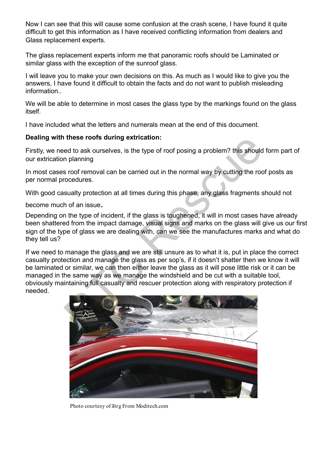Now I can see that this will cause some confusion at the crash scene, I have found it quite difficult to get this information as I have received conflicting information from dealers and Glass replacement experts.

The glass replacement experts inform me that panoramic roofs should be Laminated or similar glass with the exception of the sunroof glass.

I will leave you to make your own decisions on this. As much as I would like to give you the answers, I have found it difficult to obtain the facts and do not want to publish misleading information..

We will be able to determine in most cases the glass type by the markings found on the glass itself.

I have included what the letters and numerals mean at the end of this document.

#### **Dealing with these roofs during extrication:**

Firstly, we need to ask ourselves, is the type of roof posing a problem? this should form part of our extrication planning

In most cases roof removal can be carried out in the normal way by cutting the roof posts as per normal procedures.

With good casualty protection at all times during this phase, any glass fragments should not

become much of an issue.

Depending on the type of incident, if the glass is toughened, it will in most cases have already been shattered from the impact damage, visual signs and marks on the glass will give us our first sign of the type of glass we are dealing with, can we see the manufactures marks and what do they tell us?

If we need to manage the glass and we are still unsure as to what it is, put in place the correct casualty protection and manage the glass as per sop's, if it doesn't shatter then we know it will be laminated or similar, we can then either leave the glass as it will pose little risk or it can be managed in the same way as we manage the windshield and be cut with a suitable tool, obviously maintaining full casualty and rescuer protection along with respiratory protection if needed. These roofs during extrication:<br>
ed to ask ourselves, is the type of roof posing a problem? this should<br>
in planning<br>
s roof removal can be carried out in the normal way by cutting the roc<br>
coedures.<br>
sualty protection at



Photo courtesy of Jörg From Moditech.com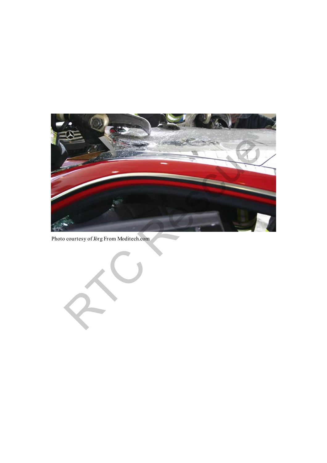

Photo courtesy of Jörg From Moditech.com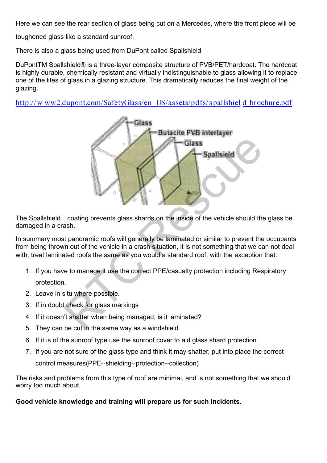toughened glass like a standard sunroof.

There is also a glass being used from DuPont called Spallshield

DuPontTM Spallshield® is a three-layer composite structure of PVB/PET/hardcoat. The hardcoat is highly durable, chemically resistant and virtually indistinguishable to glass allowing it to replace one of the lites of glass in a glazing structure. This dramatically reduces the final weight of the glazing.

http://w ww2.dupont.com/SafetyGlass/en\_US/assets/pdfs/ spallshiel d\_brochure.pdf



The Spallshield coating prevents glass shards on the inside of the vehicle should the glass be damaged in a crash.

In summary most panoramic roofs will generally be laminated or similar to prevent the occupants from being thrown out of the vehicle in a crash situation, it is not something that we can not deal with, treat laminated roofs the same as you would a standard roof, with the exception that:

- 1. If you have to manage it use the correct PPE/casualty protection including Respiratory protection.
- 2. Leave in situ where possible.
- 3. If in doubt check for glass markings
- 4. If it doesn't shatter when being managed, is it laminated?
- 5. They can be cut in the same way as a windshield.
- 6. If it is of the sunroof type use the sunroof cover to aid glass shard protection.
- 7. If you are not sure of the glass type and think it may shatter, put into place the correct control measures(PPE--shielding--protection--collection)

The risks and problems from this type of roof are minimal, and is not something that we should worry too much about.

## **Good vehicle knowledge and training will prepare us for such incidents.**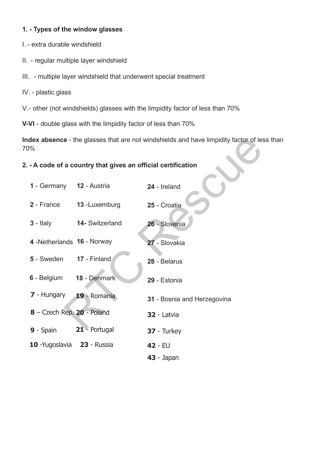## **1. - Types of the window glasses**

- I. extra durable windshield
- II. regular multiple layer windshield
- III. multiple layer windshield that underwent special treatment
- IV. plastic glass
- V.- other (not windshields) glasses with the limpidity factor of less than 70%

**V-VI** - double glass with the limpidity factor of less than 70%

**Index absence** - the glasses that are not windshields and have limpidity factor of less than 70%

#### **2. - A code of a country that gives an official certification**

| )%                                                         |                 | dex absence - the glasses that are not windshields and have limpidity factor of les |
|------------------------------------------------------------|-----------------|-------------------------------------------------------------------------------------|
| - A code of a country that gives an official certification |                 |                                                                                     |
| 1 - Germany 12 - Austria                                   |                 | 24 - Ireland                                                                        |
| 2 - France                                                 | 13 - Luxemburg  | 25 - Croatia                                                                        |
| $3 -$ Italy                                                | 14- Switzerland | 26 - Slovenia                                                                       |
| 4 - Netherlands 16 - Norway                                |                 | 27 - Slovakia                                                                       |
| 5 - Sweden                                                 | 17 - Finland    | 28 - Belarus                                                                        |
| 6 - Belgium                                                | 18 - Denmark    | 29 - Estonia                                                                        |
| 7 - Hungary                                                | 19 - Romania    | 31 - Bosnia and Herzegovina                                                         |
| 8 - Czech Rep. 20 - Poland                                 |                 | 32 - Latvia                                                                         |
| 9 - Spain                                                  | 21 - Portugal   | 37 - Turkey                                                                         |
| 10 - Yugoslavia 23 - Russia                                |                 | 42 - EU                                                                             |
|                                                            |                 | 43 - Japan                                                                          |